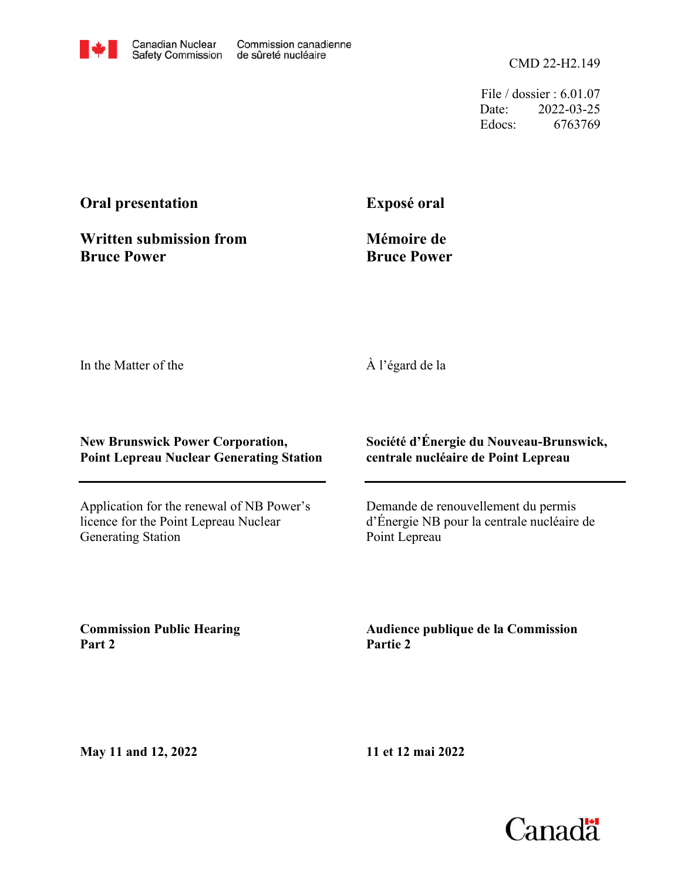CMD 22-H2.149

File / dossier : 6.01.07 Date: 2022-03-25 Edocs: 6763769

# **Oral presentation**

**Exposé oral**

**Written submission from Bruce Power**

**Mémoire de Bruce Power**

In the Matter of the

À l'égard de la

# **New Brunswick Power Corporation, Point Lepreau Nuclear Generating Station**

Application for the renewal of NB Power's licence for the Point Lepreau Nuclear Generating Station

**Société d'Énergie du Nouveau-Brunswick, centrale nucléaire de Point Lepreau**

Demande de renouvellement du permis d'Énergie NB pour la centrale nucléaire de Point Lepreau

**Commission Public Hearing Part 2**

**Audience publique de la Commission Partie 2**

**May 11 and 12, 2022**

**11 et 12 mai 2022**

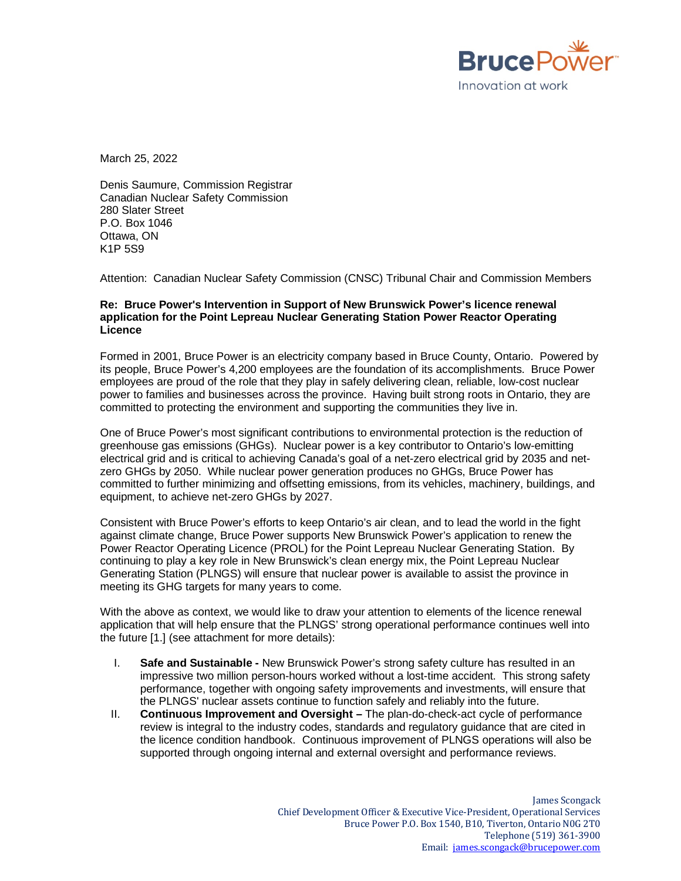

March 25, 2022

Denis Saumure, Commission Registrar Canadian Nuclear Safety Commission 280 Slater Street P.O. Box 1046 Ottawa, ON K1P 5S9

Attention: Canadian Nuclear Safety Commission (CNSC) Tribunal Chair and Commission Members

#### **Re: Bruce Power's Intervention in Support of New Brunswick Power's licence renewal application for the Point Lepreau Nuclear Generating Station Power Reactor Operating Licence**

Formed in 2001, Bruce Power is an electricity company based in Bruce County, Ontario. Powered by its people, Bruce Power's 4,200 employees are the foundation of its accomplishments. Bruce Power employees are proud of the role that they play in safely delivering clean, reliable, low-cost nuclear power to families and businesses across the province. Having built strong roots in Ontario, they are committed to protecting the environment and supporting the communities they live in.

One of Bruce Power's most significant contributions to environmental protection is the reduction of greenhouse gas emissions (GHGs). Nuclear power is a key contributor to Ontario's low-emitting electrical grid and is critical to achieving Canada's goal of a net-zero electrical grid by 2035 and netzero GHGs by 2050. While nuclear power generation produces no GHGs, Bruce Power has committed to further minimizing and offsetting emissions, from its vehicles, machinery, buildings, and equipment, to achieve net-zero GHGs by 2027.

Consistent with Bruce Power's efforts to keep Ontario's air clean, and to lead the world in the fight against climate change, Bruce Power supports New Brunswick Power's application to renew the Power Reactor Operating Licence (PROL) for the Point Lepreau Nuclear Generating Station. By continuing to play a key role in New Brunswick's clean energy mix, the Point Lepreau Nuclear Generating Station (PLNGS) will ensure that nuclear power is available to assist the province in meeting its GHG targets for many years to come.

With the above as context, we would like to draw your attention to elements of the licence renewal application that will help ensure that the PLNGS' strong operational performance continues well into the future [\[1.\]](#page-4-0) (see attachment for more details):

- I. **Safe and Sustainable -** New Brunswick Power's strong safety culture has resulted in an impressive two million person-hours worked without a lost-time accident. This strong safety performance, together with ongoing safety improvements and investments, will ensure that the PLNGS' nuclear assets continue to function safely and reliably into the future.
- II. **Continuous Improvement and Oversight –** The plan-do-check-act cycle of performance review is integral to the industry codes, standards and regulatory guidance that are cited in the licence condition handbook. Continuous improvement of PLNGS operations will also be supported through ongoing internal and external oversight and performance reviews.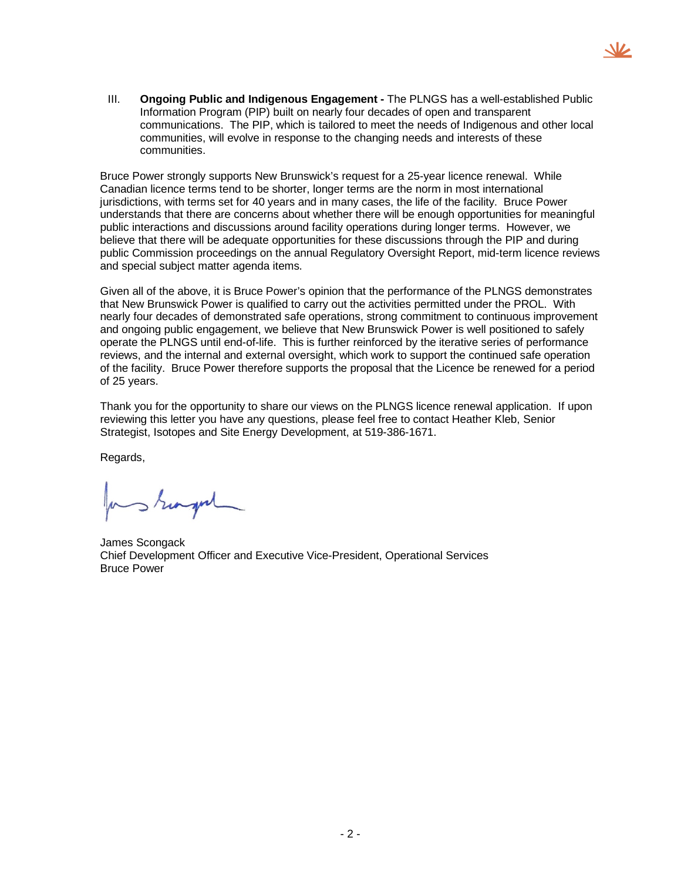III. **Ongoing Public and Indigenous Engagement -** The PLNGS has a well-established Public Information Program (PIP) built on nearly four decades of open and transparent communications. The PIP, which is tailored to meet the needs of Indigenous and other local communities, will evolve in response to the changing needs and interests of these communities.

 $\Delta$ 

Bruce Power strongly supports New Brunswick's request for a 25-year licence renewal. While Canadian licence terms tend to be shorter, longer terms are the norm in most international jurisdictions, with terms set for 40 years and in many cases, the life of the facility. Bruce Power understands that there are concerns about whether there will be enough opportunities for meaningful public interactions and discussions around facility operations during longer terms. However, we believe that there will be adequate opportunities for these discussions through the PIP and during public Commission proceedings on the annual Regulatory Oversight Report, mid-term licence reviews and special subject matter agenda items.

Given all of the above, it is Bruce Power's opinion that the performance of the PLNGS demonstrates that New Brunswick Power is qualified to carry out the activities permitted under the PROL. With nearly four decades of demonstrated safe operations, strong commitment to continuous improvement and ongoing public engagement, we believe that New Brunswick Power is well positioned to safely operate the PLNGS until end-of-life. This is further reinforced by the iterative series of performance reviews, and the internal and external oversight, which work to support the continued safe operation of the facility. Bruce Power therefore supports the proposal that the Licence be renewed for a period of 25 years.

Thank you for the opportunity to share our views on the PLNGS licence renewal application. If upon reviewing this letter you have any questions, please feel free to contact Heather Kleb, Senior Strategist, Isotopes and Site Energy Development, at 519-386-1671.

Regards,

for sharped

James Scongack Chief Development Officer and Executive Vice-President, Operational Services Bruce Power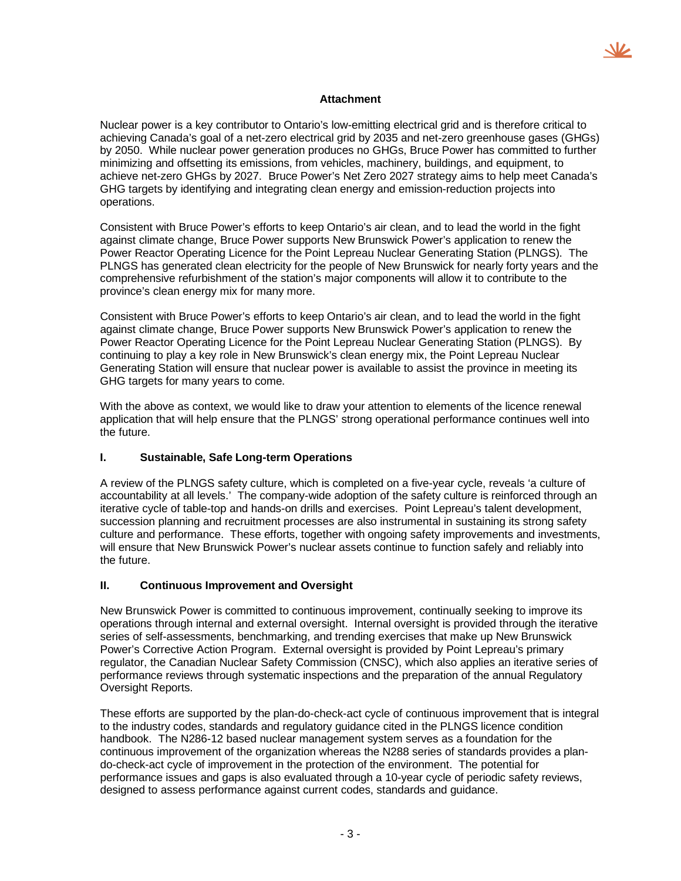

#### **Attachment**

Nuclear power is a key contributor to Ontario's low-emitting electrical grid and is therefore critical to achieving Canada's goal of a net-zero electrical grid by 2035 and net-zero greenhouse gases (GHGs) by 2050. While nuclear power generation produces no GHGs, Bruce Power has committed to further minimizing and offsetting its emissions, from vehicles, machinery, buildings, and equipment, to achieve net-zero GHGs by 2027. Bruce Power's Net Zero 2027 strategy aims to help meet Canada's GHG targets by identifying and integrating clean energy and emission-reduction projects into operations.

Consistent with Bruce Power's efforts to keep Ontario's air clean, and to lead the world in the fight against climate change, Bruce Power supports New Brunswick Power's application to renew the Power Reactor Operating Licence for the Point Lepreau Nuclear Generating Station (PLNGS). The PLNGS has generated clean electricity for the people of New Brunswick for nearly forty years and the comprehensive refurbishment of the station's major components will allow it to contribute to the province's clean energy mix for many more.

Consistent with Bruce Power's efforts to keep Ontario's air clean, and to lead the world in the fight against climate change, Bruce Power supports New Brunswick Power's application to renew the Power Reactor Operating Licence for the Point Lepreau Nuclear Generating Station (PLNGS). By continuing to play a key role in New Brunswick's clean energy mix, the Point Lepreau Nuclear Generating Station will ensure that nuclear power is available to assist the province in meeting its GHG targets for many years to come.

With the above as context, we would like to draw your attention to elements of the licence renewal application that will help ensure that the PLNGS' strong operational performance continues well into the future.

# **I. Sustainable, Safe Long-term Operations**

A review of the PLNGS safety culture, which is completed on a five-year cycle, reveals 'a culture of accountability at all levels.' The company-wide adoption of the safety culture is reinforced through an iterative cycle of table-top and hands-on drills and exercises. Point Lepreau's talent development, succession planning and recruitment processes are also instrumental in sustaining its strong safety culture and performance. These efforts, together with ongoing safety improvements and investments, will ensure that New Brunswick Power's nuclear assets continue to function safely and reliably into the future.

# **II. Continuous Improvement and Oversight**

New Brunswick Power is committed to continuous improvement, continually seeking to improve its operations through internal and external oversight. Internal oversight is provided through the iterative series of self-assessments, benchmarking, and trending exercises that make up New Brunswick Power's Corrective Action Program. External oversight is provided by Point Lepreau's primary regulator, the Canadian Nuclear Safety Commission (CNSC), which also applies an iterative series of performance reviews through systematic inspections and the preparation of the annual Regulatory Oversight Reports.

These efforts are supported by the plan-do-check-act cycle of continuous improvement that is integral to the industry codes, standards and regulatory guidance cited in the PLNGS licence condition handbook. The N286-12 based nuclear management system serves as a foundation for the continuous improvement of the organization whereas the N288 series of standards provides a plando-check-act cycle of improvement in the protection of the environment. The potential for performance issues and gaps is also evaluated through a 10-year cycle of periodic safety reviews, designed to assess performance against current codes, standards and guidance.